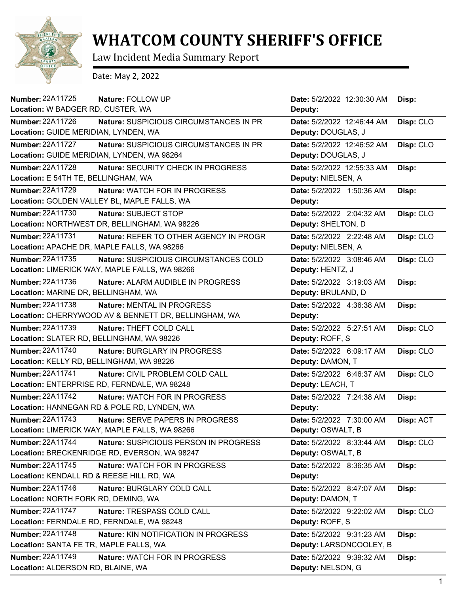

## **WHATCOM COUNTY SHERIFF'S OFFICE**

Law Incident Media Summary Report

Date: May 2, 2022

| Number: 22A11725                         | Nature: FOLLOW UP                                    | Date: 5/2/2022 12:30:30 AM | Disp:     |
|------------------------------------------|------------------------------------------------------|----------------------------|-----------|
| Location: W BADGER RD, CUSTER, WA        |                                                      | Deputy:                    |           |
| Number: 22A11726                         | Nature: SUSPICIOUS CIRCUMSTANCES IN PR               | Date: 5/2/2022 12:46:44 AM | Disp: CLO |
| Location: GUIDE MERIDIAN, LYNDEN, WA     |                                                      | Deputy: DOUGLAS, J         |           |
| <b>Number: 22A11727</b>                  | Nature: SUSPICIOUS CIRCUMSTANCES IN PR               | Date: 5/2/2022 12:46:52 AM | Disp: CLO |
|                                          | Location: GUIDE MERIDIAN, LYNDEN, WA 98264           | Deputy: DOUGLAS, J         |           |
| <b>Number: 22A11728</b>                  | Nature: SECURITY CHECK IN PROGRESS                   | Date: 5/2/2022 12:55:33 AM | Disp:     |
| Location: E 54TH TE, BELLINGHAM, WA      |                                                      | Deputy: NIELSEN, A         |           |
| Number: 22A11729                         | <b>Nature: WATCH FOR IN PROGRESS</b>                 | Date: 5/2/2022 1:50:36 AM  | Disp:     |
|                                          | Location: GOLDEN VALLEY BL, MAPLE FALLS, WA          | Deputy:                    |           |
| Number: 22A11730                         | Nature: SUBJECT STOP                                 | Date: 5/2/2022 2:04:32 AM  | Disp: CLO |
|                                          | Location: NORTHWEST DR, BELLINGHAM, WA 98226         | Deputy: SHELTON, D         |           |
| <b>Number: 22A11731</b>                  | Nature: REFER TO OTHER AGENCY IN PROGR               | Date: 5/2/2022 2:22:48 AM  | Disp: CLO |
|                                          | Location: APACHE DR, MAPLE FALLS, WA 98266           | Deputy: NIELSEN, A         |           |
| Number: 22A11735                         | Nature: SUSPICIOUS CIRCUMSTANCES COLD                | Date: 5/2/2022 3:08:46 AM  | Disp: CLO |
|                                          | Location: LIMERICK WAY, MAPLE FALLS, WA 98266        | Deputy: HENTZ, J           |           |
| Number: 22A11736                         | Nature: ALARM AUDIBLE IN PROGRESS                    | Date: 5/2/2022 3:19:03 AM  | Disp:     |
| Location: MARINE DR, BELLINGHAM, WA      |                                                      | Deputy: BRULAND, D         |           |
| Number: 22A11738                         | Nature: MENTAL IN PROGRESS                           | Date: 5/2/2022 4:36:38 AM  | Disp:     |
|                                          | Location: CHERRYWOOD AV & BENNETT DR, BELLINGHAM, WA | Deputy:                    |           |
| Number: 22A11739                         | Nature: THEFT COLD CALL                              | Date: 5/2/2022 5:27:51 AM  | Disp: CLO |
|                                          | Location: SLATER RD, BELLINGHAM, WA 98226            | Deputy: ROFF, S            |           |
| <b>Number: 22A11740</b>                  | Nature: BURGLARY IN PROGRESS                         | Date: 5/2/2022 6:09:17 AM  | Disp: CLO |
| Location: KELLY RD, BELLINGHAM, WA 98226 |                                                      | Deputy: DAMON, T           |           |
| <b>Number: 22A11741</b>                  | Nature: CIVIL PROBLEM COLD CALL                      | Date: 5/2/2022 6:46:37 AM  | Disp: CLO |
|                                          | Location: ENTERPRISE RD, FERNDALE, WA 98248          | Deputy: LEACH, T           |           |
| <b>Number: 22A11742</b>                  | Nature: WATCH FOR IN PROGRESS                        | Date: 5/2/2022 7:24:38 AM  | Disp:     |
|                                          | Location: HANNEGAN RD & POLE RD, LYNDEN, WA          | Deputy:                    |           |
| Number: 22A11743                         | Nature: SERVE PAPERS IN PROGRESS                     | Date: 5/2/2022 7:30:00 AM  | Disp: ACT |
|                                          | Location: LIMERICK WAY, MAPLE FALLS, WA 98266        | Deputy: OSWALT, B          |           |
| Number: 22A11744                         | Nature: SUSPICIOUS PERSON IN PROGRESS                | Date: 5/2/2022 8:33:44 AM  | Disp: CLO |
|                                          | Location: BRECKENRIDGE RD, EVERSON, WA 98247         | Deputy: OSWALT, B          |           |
| Number: 22A11745                         | Nature: WATCH FOR IN PROGRESS                        | Date: 5/2/2022 8:36:35 AM  | Disp:     |
| Location: KENDALL RD & REESE HILL RD, WA |                                                      | Deputy:                    |           |
| <b>Number: 22A11746</b>                  | Nature: BURGLARY COLD CALL                           | Date: 5/2/2022 8:47:07 AM  | Disp:     |
| Location: NORTH FORK RD, DEMING, WA      |                                                      | Deputy: DAMON, T           |           |
| <b>Number: 22A11747</b>                  | Nature: TRESPASS COLD CALL                           | Date: 5/2/2022 9:22:02 AM  | Disp: CLO |
|                                          | Location: FERNDALE RD, FERNDALE, WA 98248            | Deputy: ROFF, S            |           |
| Number: 22A11748                         | Nature: KIN NOTIFICATION IN PROGRESS                 | Date: 5/2/2022 9:31:23 AM  | Disp:     |
| Location: SANTA FE TR, MAPLE FALLS, WA   |                                                      | Deputy: LARSONCOOLEY, B    |           |
| Number: 22A11749                         | Nature: WATCH FOR IN PROGRESS                        | Date: 5/2/2022 9:39:32 AM  | Disp:     |
| Location: ALDERSON RD, BLAINE, WA        |                                                      | Deputy: NELSON, G          |           |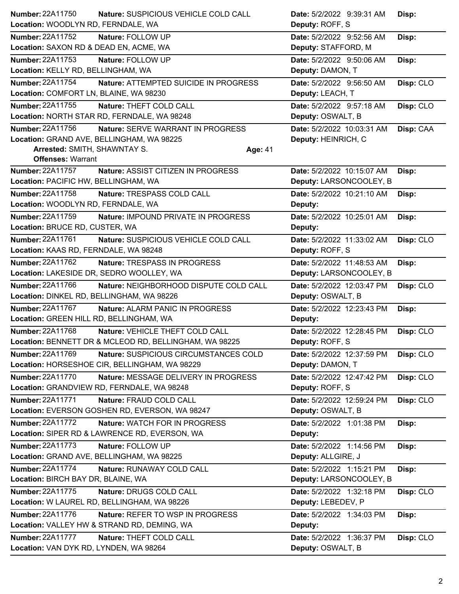| Number: 22A11750                          | Nature: SUSPICIOUS VEHICLE COLD CALL                   | Date: 5/2/2022 9:39:31 AM  | Disp:     |
|-------------------------------------------|--------------------------------------------------------|----------------------------|-----------|
| Location: WOODLYN RD, FERNDALE, WA        |                                                        | Deputy: ROFF, S            |           |
| Number: 22A11752                          | Nature: FOLLOW UP                                      | Date: 5/2/2022 9:52:56 AM  | Disp:     |
| Location: SAXON RD & DEAD EN, ACME, WA    |                                                        | Deputy: STAFFORD, M        |           |
| <b>Number: 22A11753</b>                   | Nature: FOLLOW UP                                      | Date: 5/2/2022 9:50:06 AM  | Disp:     |
| Location: KELLY RD, BELLINGHAM, WA        |                                                        | Deputy: DAMON, T           |           |
| Number: 22A11754                          | Nature: ATTEMPTED SUICIDE IN PROGRESS                  | Date: 5/2/2022 9:56:50 AM  | Disp: CLO |
| Location: COMFORT LN, BLAINE, WA 98230    |                                                        | Deputy: LEACH, T           |           |
| <b>Number: 22A11755</b>                   | Nature: THEFT COLD CALL                                | Date: 5/2/2022 9:57:18 AM  | Disp: CLO |
|                                           | Location: NORTH STAR RD, FERNDALE, WA 98248            | Deputy: OSWALT, B          |           |
| Number: 22A11756                          | Nature: SERVE WARRANT IN PROGRESS                      | Date: 5/2/2022 10:03:31 AM | Disp: CAA |
| Location: GRAND AVE, BELLINGHAM, WA 98225 |                                                        | Deputy: HEINRICH, C        |           |
| Arrested: SMITH, SHAWNTAY S.              | Age: 41                                                |                            |           |
| <b>Offenses: Warrant</b>                  |                                                        |                            |           |
| <b>Number: 22A11757</b>                   | Nature: ASSIST CITIZEN IN PROGRESS                     | Date: 5/2/2022 10:15:07 AM | Disp:     |
| Location: PACIFIC HW, BELLINGHAM, WA      |                                                        | Deputy: LARSONCOOLEY, B    |           |
| Number: 22A11758                          | Nature: TRESPASS COLD CALL                             | Date: 5/2/2022 10:21:10 AM | Disp:     |
| Location: WOODLYN RD, FERNDALE, WA        |                                                        | Deputy:                    |           |
| <b>Number: 22A11759</b>                   | Nature: IMPOUND PRIVATE IN PROGRESS                    | Date: 5/2/2022 10:25:01 AM | Disp:     |
| Location: BRUCE RD, CUSTER, WA            |                                                        | Deputy:                    |           |
| Number: 22A11761                          | Nature: SUSPICIOUS VEHICLE COLD CALL                   | Date: 5/2/2022 11:33:02 AM | Disp: CLO |
| Location: KAAS RD, FERNDALE, WA 98248     |                                                        | Deputy: ROFF, S            |           |
| Number: 22A11762                          | Nature: TRESPASS IN PROGRESS                           | Date: 5/2/2022 11:48:53 AM | Disp:     |
|                                           | Location: LAKESIDE DR, SEDRO WOOLLEY, WA               | Deputy: LARSONCOOLEY, B    |           |
| Number: 22A11766                          | Nature: NEIGHBORHOOD DISPUTE COLD CALL                 | Date: 5/2/2022 12:03:47 PM | Disp: CLO |
| Location: DINKEL RD, BELLINGHAM, WA 98226 |                                                        | Deputy: OSWALT, B          |           |
| Number: 22A11767                          | Nature: ALARM PANIC IN PROGRESS                        | Date: 5/2/2022 12:23:43 PM | Disp:     |
| Location: GREEN HILL RD, BELLINGHAM, WA   |                                                        | Deputy:                    |           |
|                                           |                                                        | Date: 5/2/2022 12:28:45 PM |           |
| Number: 22A11768                          | Nature: VEHICLE THEFT COLD CALL                        |                            | Disp: CLO |
|                                           | Location: BENNETT DR & MCLEOD RD, BELLINGHAM, WA 98225 | Deputy: ROFF, S            |           |
| Number: 22A11769                          | Nature: SUSPICIOUS CIRCUMSTANCES COLD                  | Date: 5/2/2022 12:37:59 PM | Disp: CLO |
|                                           | Location: HORSESHOE CIR, BELLINGHAM, WA 98229          | Deputy: DAMON, T           |           |
| <b>Number: 22A11770</b>                   | Nature: MESSAGE DELIVERY IN PROGRESS                   | Date: 5/2/2022 12:47:42 PM | Disp: CLO |
|                                           | Location: GRANDVIEW RD, FERNDALE, WA 98248             | Deputy: ROFF, S            |           |
| <b>Number: 22A11771</b>                   | Nature: FRAUD COLD CALL                                | Date: 5/2/2022 12:59:24 PM | Disp: CLO |
|                                           | Location: EVERSON GOSHEN RD, EVERSON, WA 98247         | Deputy: OSWALT, B          |           |
| <b>Number: 22A11772</b>                   | Nature: WATCH FOR IN PROGRESS                          | Date: 5/2/2022 1:01:38 PM  | Disp:     |
|                                           | Location: SIPER RD & LAWRENCE RD, EVERSON, WA          | Deputy:                    |           |
| Number: 22A11773                          | Nature: FOLLOW UP                                      | Date: 5/2/2022 1:14:56 PM  | Disp:     |
|                                           | Location: GRAND AVE, BELLINGHAM, WA 98225              | Deputy: ALLGIRE, J         |           |
| <b>Number: 22A11774</b>                   | Nature: RUNAWAY COLD CALL                              | Date: 5/2/2022 1:15:21 PM  | Disp:     |
| Location: BIRCH BAY DR, BLAINE, WA        |                                                        | Deputy: LARSONCOOLEY, B    |           |
| Number: 22A11775                          | Nature: DRUGS COLD CALL                                | Date: 5/2/2022 1:32:18 PM  | Disp: CLO |
|                                           | Location: W LAUREL RD, BELLINGHAM, WA 98226            | Deputy: LEBEDEV, P         |           |
| <b>Number: 22A11776</b>                   | Nature: REFER TO WSP IN PROGRESS                       | Date: 5/2/2022 1:34:03 PM  | Disp:     |
|                                           | Location: VALLEY HW & STRAND RD, DEMING, WA            | Deputy:                    |           |
| <b>Number: 22A11777</b>                   | Nature: THEFT COLD CALL                                | Date: 5/2/2022 1:36:37 PM  | Disp: CLO |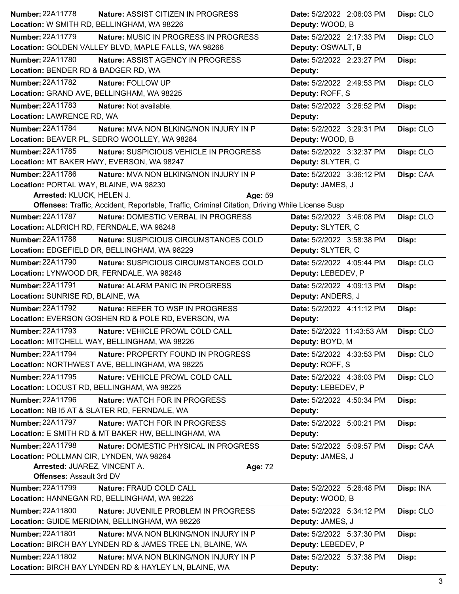| <b>Number: 22A11778</b><br><b>Nature: ASSIST CITIZEN IN PROGRESS</b>                                                       | Date: 5/2/2022 2:06:03 PM                       | Disp: CLO |
|----------------------------------------------------------------------------------------------------------------------------|-------------------------------------------------|-----------|
| Location: W SMITH RD, BELLINGHAM, WA 98226                                                                                 | Deputy: WOOD, B                                 |           |
| <b>Number: 22A11779</b><br>Nature: MUSIC IN PROGRESS IN PROGRESS<br>Location: GOLDEN VALLEY BLVD, MAPLE FALLS, WA 98266    | Date: 5/2/2022 2:17:33 PM<br>Deputy: OSWALT, B  | Disp: CLO |
| <b>Number: 22A11780</b><br>Nature: ASSIST AGENCY IN PROGRESS<br>Location: BENDER RD & BADGER RD, WA                        | Date: 5/2/2022 2:23:27 PM<br>Deputy:            | Disp:     |
| <b>Number: 22A11782</b><br>Nature: FOLLOW UP<br>Location: GRAND AVE, BELLINGHAM, WA 98225                                  | Date: 5/2/2022 2:49:53 PM<br>Deputy: ROFF, S    | Disp: CLO |
| <b>Number: 22A11783</b><br>Nature: Not available.<br>Location: LAWRENCE RD, WA                                             | Date: 5/2/2022 3:26:52 PM<br>Deputy:            | Disp:     |
| Number: 22A11784<br>Nature: MVA NON BLKING/NON INJURY IN P<br>Location: BEAVER PL, SEDRO WOOLLEY, WA 98284                 | Date: 5/2/2022 3:29:31 PM<br>Deputy: WOOD, B    | Disp: CLO |
| Number: 22A11785<br>Nature: SUSPICIOUS VEHICLE IN PROGRESS<br>Location: MT BAKER HWY, EVERSON, WA 98247                    | Date: 5/2/2022 3:32:37 PM<br>Deputy: SLYTER, C  | Disp: CLO |
| Number: 22A11786<br>Nature: MVA NON BLKING/NON INJURY IN P<br>Location: PORTAL WAY, BLAINE, WA 98230                       | Date: 5/2/2022 3:36:12 PM<br>Deputy: JAMES, J   | Disp: CAA |
| Arrested: KLUCK, HELEN J.<br>Age: 59                                                                                       |                                                 |           |
| Offenses: Traffic, Accident, Reportable, Traffic, Criminal Citation, Driving While License Susp<br><b>Number: 22A11787</b> | Date: 5/2/2022 3:46:08 PM                       |           |
| Nature: DOMESTIC VERBAL IN PROGRESS<br>Location: ALDRICH RD, FERNDALE, WA 98248                                            | Deputy: SLYTER, C                               | Disp: CLO |
| <b>Number: 22A11788</b><br>Nature: SUSPICIOUS CIRCUMSTANCES COLD                                                           | Date: 5/2/2022 3:58:38 PM                       | Disp:     |
| Location: EDGEFIELD DR, BELLINGHAM, WA 98229                                                                               | Deputy: SLYTER, C                               |           |
| Number: 22A11790<br>Nature: SUSPICIOUS CIRCUMSTANCES COLD                                                                  | Date: 5/2/2022 4:05:44 PM                       | Disp: CLO |
| Location: LYNWOOD DR, FERNDALE, WA 98248                                                                                   | Deputy: LEBEDEV, P                              |           |
| <b>Number: 22A11791</b><br>Nature: ALARM PANIC IN PROGRESS                                                                 | Date: 5/2/2022 4:09:13 PM                       | Disp:     |
| Location: SUNRISE RD, BLAINE, WA                                                                                           | Deputy: ANDERS, J                               |           |
| <b>Number: 22A11792</b><br>Nature: REFER TO WSP IN PROGRESS                                                                | Date: 5/2/2022 4:11:12 PM                       | Disp:     |
| Location: EVERSON GOSHEN RD & POLE RD, EVERSON, WA                                                                         | Deputy:                                         |           |
| <b>Number: 22A11793</b><br>Nature: VEHICLE PROWL COLD CALL<br>Location: MITCHELL WAY, BELLINGHAM, WA 98226                 | Date: 5/2/2022 11:43:53 AM<br>Deputy: BOYD, M   | Disp: CLO |
| <b>Number: 22A11794</b><br>Nature: PROPERTY FOUND IN PROGRESS<br>Location: NORTHWEST AVE, BELLINGHAM, WA 98225             | Date: 5/2/2022 4:33:53 PM<br>Deputy: ROFF, S    | Disp: CLO |
| <b>Number: 22A11795</b><br>Nature: VEHICLE PROWL COLD CALL<br>Location: LOCUST RD, BELLINGHAM, WA 98225                    | Date: 5/2/2022 4:36:03 PM<br>Deputy: LEBEDEV, P | Disp: CLO |
| <b>Number: 22A11796</b><br>Nature: WATCH FOR IN PROGRESS<br>Location: NB I5 AT & SLATER RD, FERNDALE, WA                   | Date: 5/2/2022 4:50:34 PM<br>Deputy:            | Disp:     |
| Number: 22A11797<br>Nature: WATCH FOR IN PROGRESS<br>Location: E SMITH RD & MT BAKER HW, BELLINGHAM, WA                    | Date: 5/2/2022 5:00:21 PM<br>Deputy:            | Disp:     |
| <b>Number: 22A11798</b><br>Nature: DOMESTIC PHYSICAL IN PROGRESS<br>Location: POLLMAN CIR, LYNDEN, WA 98264                | Date: 5/2/2022 5:09:57 PM<br>Deputy: JAMES, J   | Disp: CAA |
| Arrested: JUAREZ, VINCENT A.<br>Age: 72<br>Offenses: Assault 3rd DV                                                        |                                                 |           |
| <b>Number: 22A11799</b><br>Nature: FRAUD COLD CALL                                                                         | Date: 5/2/2022 5:26:48 PM                       | Disp: INA |
| Location: HANNEGAN RD, BELLINGHAM, WA 98226                                                                                | Deputy: WOOD, B                                 |           |
| <b>Number: 22A11800</b><br>Nature: JUVENILE PROBLEM IN PROGRESS                                                            | Date: 5/2/2022 5:34:12 PM                       | Disp: CLO |
| Location: GUIDE MERIDIAN, BELLINGHAM, WA 98226                                                                             | Deputy: JAMES, J                                |           |
| Number: 22A11801<br>Nature: MVA NON BLKING/NON INJURY IN P                                                                 | Date: 5/2/2022 5:37:30 PM                       | Disp:     |
| Location: BIRCH BAY LYNDEN RD & JAMES TREE LN, BLAINE, WA                                                                  | Deputy: LEBEDEV, P                              |           |
| Number: 22A11802<br>Nature: MVA NON BLKING/NON INJURY IN P                                                                 | Date: 5/2/2022 5:37:38 PM                       | Disp:     |
| Location: BIRCH BAY LYNDEN RD & HAYLEY LN, BLAINE, WA                                                                      | Deputy:                                         |           |